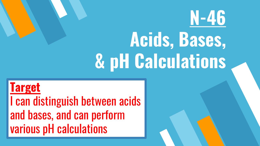# **N-46 Acids, Bases, & pH Calculations**

**Target** I can distinguish between acids and bases, and can perform various pH calculations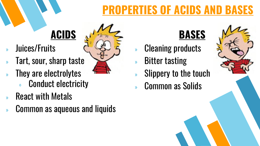## **PROPERTIES OF ACIDS AND BASES**

## **ACIDS**

- » Juices/Fruits
- » Tart, sour, sharp taste
- » They are electrolytes
	- Conduct electricity
- » React with Metals
- » Common as aqueous and liquids



## **BASES**

- » Cleaning products
- » Bitter tasting
- Slippery to the touch
- » Common as Solids

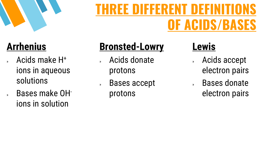

### **Arrhenius**

- » Acids make H<sup>+</sup> ions in aqueous solutions
- » Bases make OHions in solution

## **Bronsted-Lowry**

- » Acids donate protons
- » Bases accept protons

### **Lewis**

- » Acids accept electron pairs
- » Bases donate electron pairs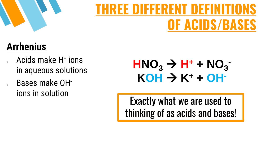

## **Arrhenius**

- » Acids make H<sup>+</sup> ions in aqueous solutions
- » Bases make OHions in solution

 $HMO<sub>3</sub> \rightarrow H<sup>+</sup> + NO<sub>3</sub>$  $KOH \rightarrow K^+ + OH^-$ 

Exactly what we are used to thinking of as acids and bases!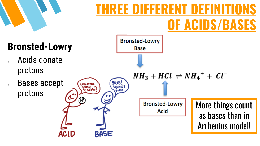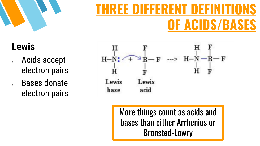

#### **Lewis**

- » Acids accept electron pairs
- » Bases donate electron pairs



More things count as acids and bases than either Arrhenius or Bronsted-Lowry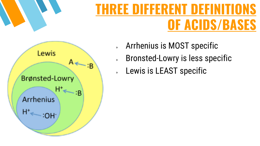

» Arrhenius is MOST specific

- » Bronsted-Lowry is less specific
- » Lewis is LEAST specific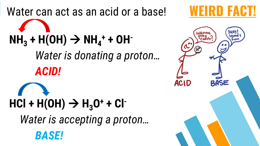Water can act as an acid or a base! **WEIRD FACT**  $NH_3 + H(OH) \to NH_4^+ + OH^-$ *Water is donating a proton… ACID!*  $HCl + H(OH) \to H_3O^+ + Cl^-$ *Water is accepting a proton… BASE!*

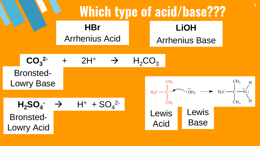**Which type of acid/base???** <sup>9</sup> **HBr LiOH** Arrhenius Acid Arrhenius Base **CO<sup>3</sup> 2-** + 2H<sup>+</sup> H2CO<sup>3</sup> Bronsted-Lowry Base **H2SO<sup>4</sup> -** H<sup>+</sup> + SO<sup>4</sup> 2- Bronsted-Lowry Acid Lewis Acid Lewis Base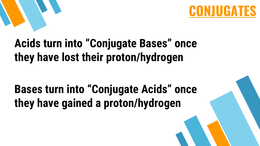

## **Acids turn into "Conjugate Bases" once they have lost their proton/hydrogen**

## **Bases turn into "Conjugate Acids" once they have gained a proton/hydrogen**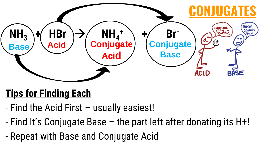

#### **Tips for Finding Each**

- Find the Acid First usually easiest!
- Find It's Conjugate Base the part left after donating its H+!
- Repeat with Base and Conjugate Acid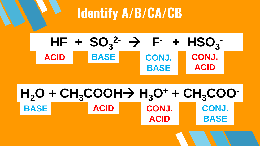## **Identify A/B/CA/CB**



#### $H_2O + CH_3COOH \rightarrow H_3O^+ + CH_3COO^-$ ACID CONJ. CONJ. **BASE BASE ACID**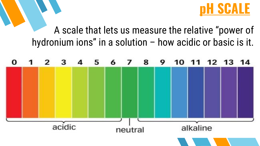

#### A scale that lets us measure the relative "power of hydronium ions" in a solution – how acidic or basic is it.

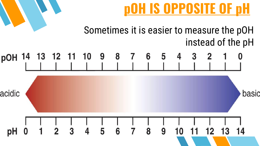

#### Sometimes it is easier to measure the pOH instead of the pH

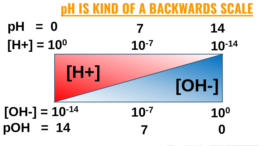





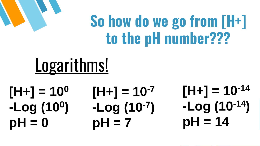## **So how do we go from [H+] to the pH number???**

# Logarithms!

**[H+] = 10<sup>0</sup> -Log (10<sup>0</sup> )**   $pH = 0$   $pH = 7$   $pH = 14$ 

 $[H+] = 10^{-7}$ **-Log (10-7 ) pH = 7** 

**14 -Log (10-14) [H+] = 10-14**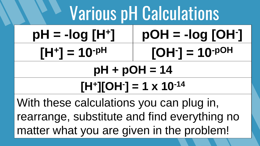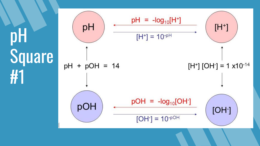